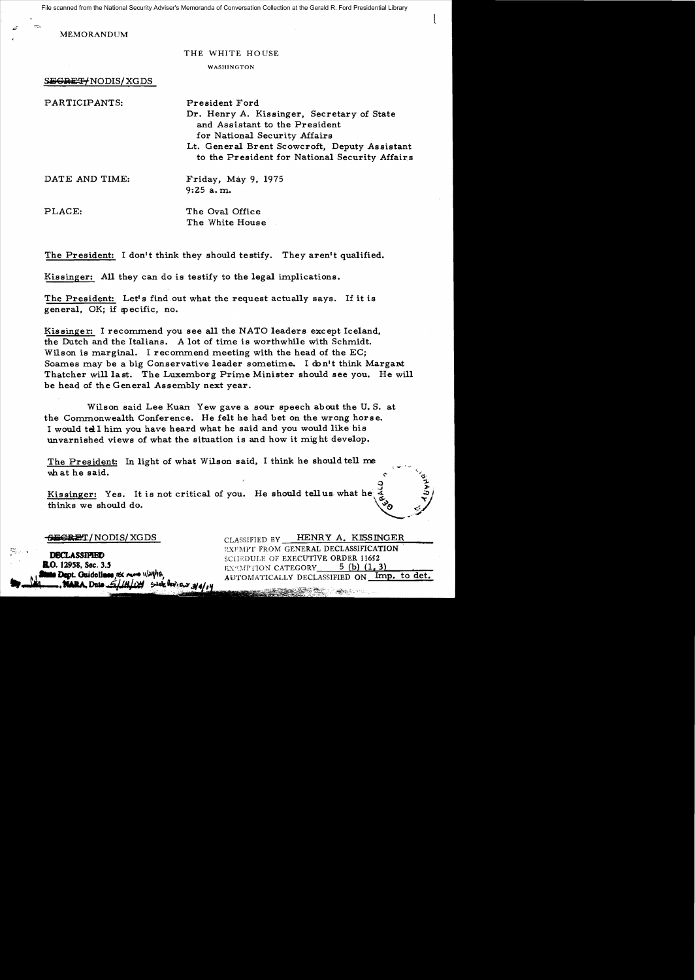File scanned from the National Security Adviser's Memoranda of Conversation Collection at the Gerald R. Ford Presidential Library

MEMORANDUM

### THE WHITE HOUSE

 $\mathbf{I}_{\mathbf{r}}$ 

WASHINGTON

 $S~~EGRET~~/NODIS/XGDS$ 

| PARTICIPANTS:  | President Ford                                 |
|----------------|------------------------------------------------|
|                | Dr. Henry A. Kissinger, Secretary of State     |
|                | and Assistant to the President                 |
|                | for National Security Affairs                  |
|                | Lt. General Brent Scowcroft, Deputy Assistant  |
|                | to the President for National Security Affairs |
| DATE AND TIME: | Friday, May 9, 1975                            |
|                | $9:25$ a.m.                                    |
| PLACE:         | The Oval Office                                |
|                | The White House                                |

The President: I don't think they should testify. They aren't qualified.

Kissinger: All they can do is testify to the legal implications.

The President: Let's find out what the request actually says. If it is general. OK; if specific, no.

Kissinger: I recommend you see all the NATO leaders except Iceland, the Dutch and the Italians. A lot of time is worthwhile with Schmidt. Wilson is marginal. I recommend meeting with the head of the EC; Soames may be a big Conservative leader sometime. I don't think Margant Thatcher will last. The Luxemborg Prime Minister should see you. He will be head of the General Assembly next year.

Wilson said Lee Kuan Yew gave a sour speech about the U. S. at the Commonwealth Conference. He felt he had bet on the wrong horse. I would tell him you have heard what he said and you would like his unvarnished views of what the situation is and how it mig ht develop.

The President: In light of what Wilson said, I think he should tell me what he said.

Kissinger: Yes. It is not critical of you. He should tellus what he  $\frac{3}{4}$ thinks we should do.

..

**R.O.** 12958, Sec. 3.5 **Ms Dept.** Guidelines *ns. rure* 1/24/18.  $5$  with the response  $3/4/14$ **NARA** Date *511410M* 

**SECRET/NODIS/XGDS** CLASSIFIED BY **HENRY A. KISSINGER** EXEMPT FROM GENERAL DECLASSIFICATION<br>COUNTIUS OF EXECUTIVE OPDER 11652 SCHEDULE OF EXECUTIVE ORDER 11652 EXEMPTION CATEGORY  $5$  (b)  $(1,3)$ AUTOMATICALLY DECLASSIFIED ON Imp. to det.

<u> Santa Carang (1948)</u>

, and the contract of  $\mathbf{p}$ 

 $\zeta$  $\sigma$ 

*...J* »;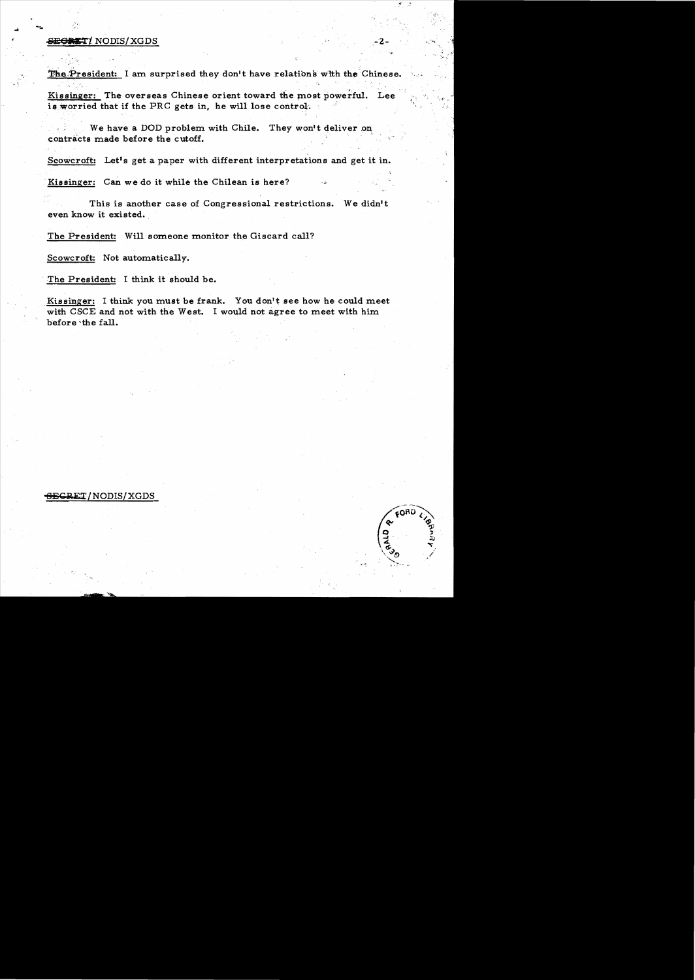# **SEGRET/ NODIS/XGDS**

The President: I am surprised they don't have relations with the Chinese.

Kissinger: The overseas Chinese orient toward the most powerful. Lee is worried that if the PRC gets in, he will lose control.

We have a DOD problem with Chile. They won't deliver on contracts made before the cutoff.

Scowcroft: Let's get a paper with different interpretations and get it in.

Kissinger: Can we do it while the Chilean is here?

This is another case of Congressional restrictions. We didn't even know it existed.

The President: Will someone monitor the Giscard call?

Scowcroft: Not automatically.

The President: I think it should be.

Kissinger: I think you must be frank. You don't see how he could meet with CSCE and not with the West. I would not agree to meet with him before the fall.

## **RET/NODIS/XGDS**

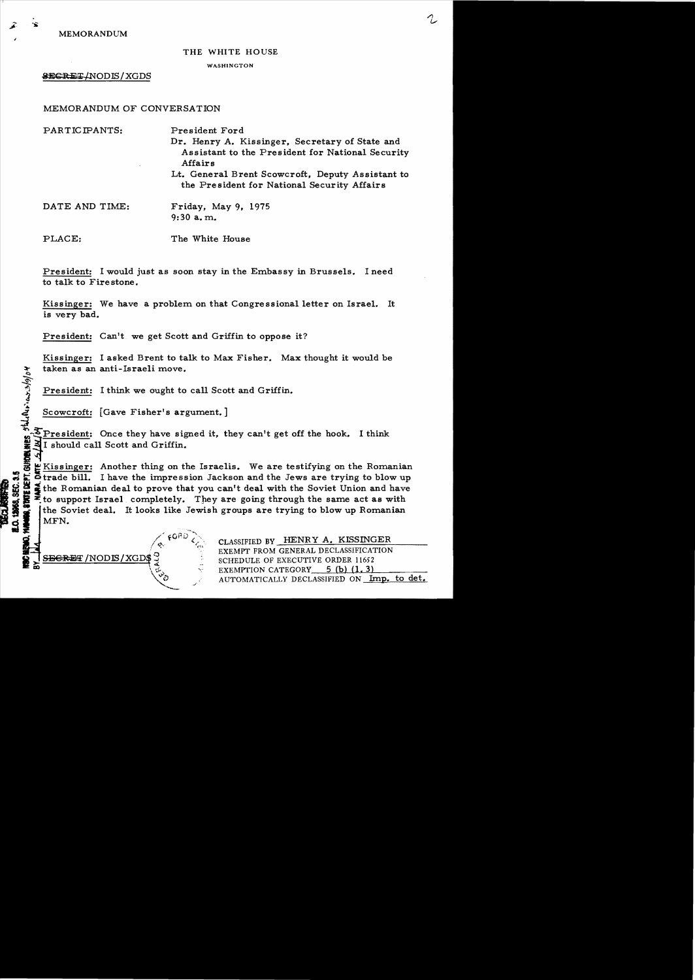MEMORANDUM

THE WHITE HOUSE

#### WASHINGTON

**SECRET/NODIS/XGDS** 

## MEMORANDUM of CONVERSATION

| PARTICIPANTS:  | President Ford<br>Dr. Henry A. Kissinger, Secretary of State and<br>Assistant to the President for National Security<br>Affairs |
|----------------|---------------------------------------------------------------------------------------------------------------------------------|
|                | Lt. General Brent Scowcroft, Deputy Assistant to<br>the President for National Security Affairs                                 |
| DATE AND TIME: | Friday, May 9, $1975$<br>$9:30$ a.m.                                                                                            |
| PLACE:         | The White House                                                                                                                 |

President: I would just as soon stay in the Embassy in Brussels. I need to talk to Fire stone.

Kissinger: We have a problem on that Congressional letter on Israel. It is very bad.

President: Can't we get Scott and Griffin to oppose it?

Kissinger: I asked Brent to talk to Max Fisher. Max thought it would be taken as an anti-Israeli move.  $\bullet$  . The contract of the contract of the contract of the contract of the contract of the contract of the contract of the contract of the contract of the contract of the contract of the contract of the contract of the co

President: I think we ought to call Scott and Griffin.

/ / .:.Oil:)

 $\setminus$   $\mathcal{C}_\mathcal{O}$  .

Scowcroft:  $[Gave Fisher's argument.]$ 

President: Once they have signed it, they can't get off the hook. I think I should call Scott and Griffin.

**I**<br>Exissinger: Another thing on the Israelis. We are testifying on the Romanian : c:trade bill. I have the impression Jackson and the Jews are trying to blow up<br>  $S^1$  at the Romanian deal to prove that you can't deal with the Soviet Union and have<br>  $S^2$  at to support Israel completely. They are goi the Romanian deal to prove that you can't deal with the Soviet Union and have  $\begin{array}{l}\n\mathbf{a} \\
\mathbf{b} \\
\mathbf{c} \\
\mathbf{d} \\
\mathbf{d} \\
\mathbf{d} \\
\mathbf{e} \\
\mathbf{f} \\
\mathbf{f} \\
\mathbf{f} \\
\mathbf{f} \\
\mathbf{f} \\
\mathbf{f} \\
\mathbf{f} \\
\mathbf{f} \\
\mathbf{f} \\
\mathbf{f} \\
\mathbf{f} \\
\mathbf{f} \\
\mathbf{f} \\
\mathbf{f} \\
\mathbf{f} \\
\mathbf{f} \\
\mathbf{f} \\
\mathbf{f} \\
\mathbf{f} \\
\mathbf{f} \\
\mathbf{f} \\
\mathbf{f} \\
\mathbf{f} \\
\math$ MFN.

 $\phi'$ 

 $\sum_{i=1}^{n}$ 

CLASSIFIED BY HENRY A. KISSINGER  $\sqrt{\text{NODIS}/\text{XGDS}}$  SCHEDULE OF EXECUTIVE ORDER 11652 EXEMPTION CATEGORY  $5$  (b) (1. 3) AUTOMATICALLY DECLASSIFIED ON Imp. to det.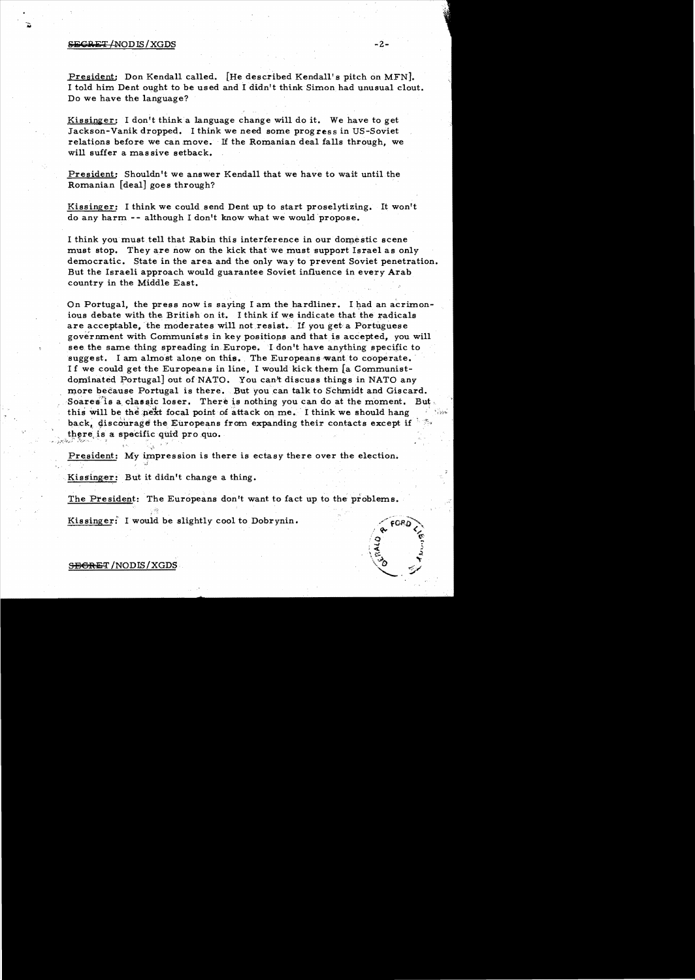### $S<sub>1</sub>$ <del>SECRET</del> /NODIS / XGDS  $-2$ -

President: Don Kendall called. [He described Kendall's pitch on MFN]. I told him Dent ought to be us ed and I didn't think Simon had unusual clout. Do we have the language?

Kissinger: I don't think a language change will do it. We have to get Jackson-Vanik dropped. I thirik we need some progress in US-Soviet relations before we can move. If the Romanian deal falls through, we will suffer a mas sive setback.

President: Shouldn't we answer Kendall that we have to wait until the Romanian [deal] goes through?

Kissinger: I think we could send Dent up to start proselytizing. It won't do any harm -- although I don't know what we would 'propose.

I think you must tell that Rabin this interference in our domestic scene must stop. They are now on the kick that we must support Israel as only democratic. State in the area and the only way to prevent Soviet penetration. But the Israeli approach would guarantee Soviet influence in every Arab country in the Middle East.

On Portugal, the press now is saying I am the hardliner. I had an acrimonious debate with the British on it. I think if we indicate that the radicals are acceptable, the moderates will not resist. If you get a Portuguese government with Communists in key positiops and thatis accepted, you will see the same thing spreading in Europe. I don't have anything specific to suggest. I am almost alone on this. The Europeans want to cooperate. I f we could get the Europeans in line, I would kick them [a Communistdominated Portugal] out of NATO. You can't discuss things in NATO any more because Portugal is there. But you can talk to Schmidt and Giscard. Soares'is a classic loser. There is nothing you can do at the moment. But, this will be the next focal point of attack on me. I think we should hang back, discourage the Europeans from expanding their contacts except if  $\mathbb{R}^n$ there is a specific quid pro quo.

President: My impression is there is ectasy there over the election.

Kissinger: But it didn't change a thing.

 $: \mathbb{R}^n_+$ 

'..f

The President: The Europeans don't want to fact up to the problems.

Kissinger: I would be slightly cool to Dobrynin.

# S<del>ECRE</del>T/NODIS/XGDS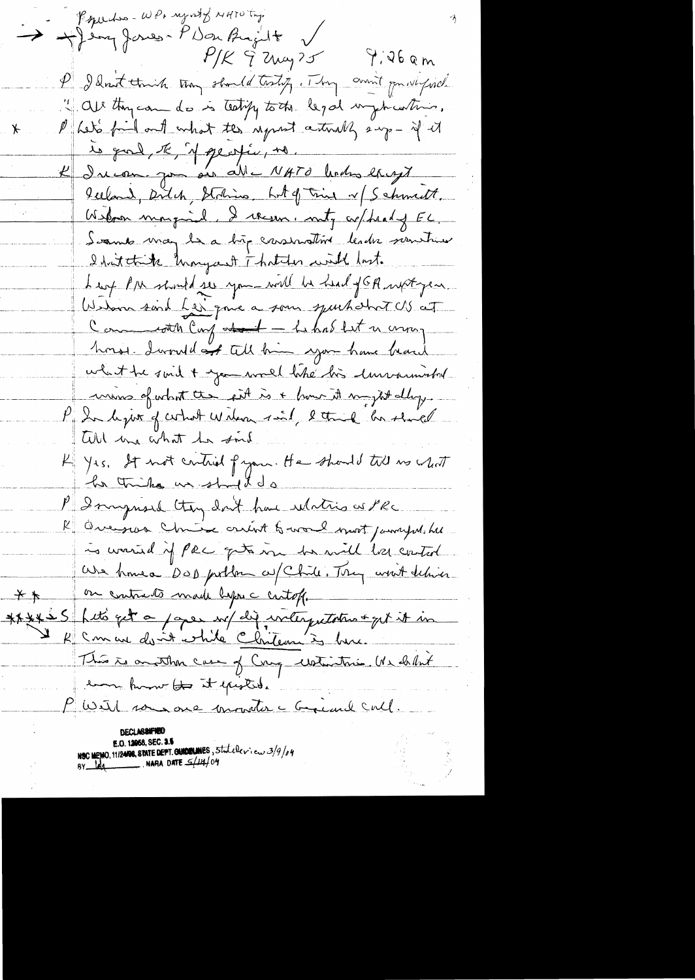Pequision - WP, regard & NATU try. August PDOUBourt  $P/K$   $\widetilde{7}$   $2\mu\omega$   $25$   $\widetilde{7}$   $36$  am P I don't think they should tosty, They aren't provided. " all thycan do is teelify to the legal imphasitions. Pheto fail out what the regrest articles eng- if it ⊁ le quel, te, il se esfér, no. K Income you are all NATO lenders except Iceland, Ditch, Station Lit of this 1/5 chimett. Weboar marginal, I regen, noty coppealing EL. Scamb may be a big consentint leader newtweet I hat think know yout That do with hast. Leart PIN should see you will be head f GA with year Wedom sind her que a som spurhabort US at Comments can det - Lehab let n comp horst dural at till him you have beach what the suid + you would like his lunnamental unions of what the fit is + how it my it alloy. P Indeport of circuit widow sind, letter of his short Will me what he soil K yes, It not critical from. He should till no what he thing us ship do P I singued they don't have whatis as PRC R Overser Chrise crient & world most jamely with is warried if Pec gets in he will be control We have DOD pollow a Chile. They went thise on contracts made lyon a centoff. そき \*\*\*\*\*5 hets get a paper up dig interpretation + get it in R Comment desnite chite Christeau in human This is another case of Cong waterstries. We delet tron home to it existed. With some one monter a Greenl Cull. DECLASSIFTE NSC MENO, 11/2408, STATE DEPT. GUIDELINES, Stateleriew 3/9/04<br>BY leg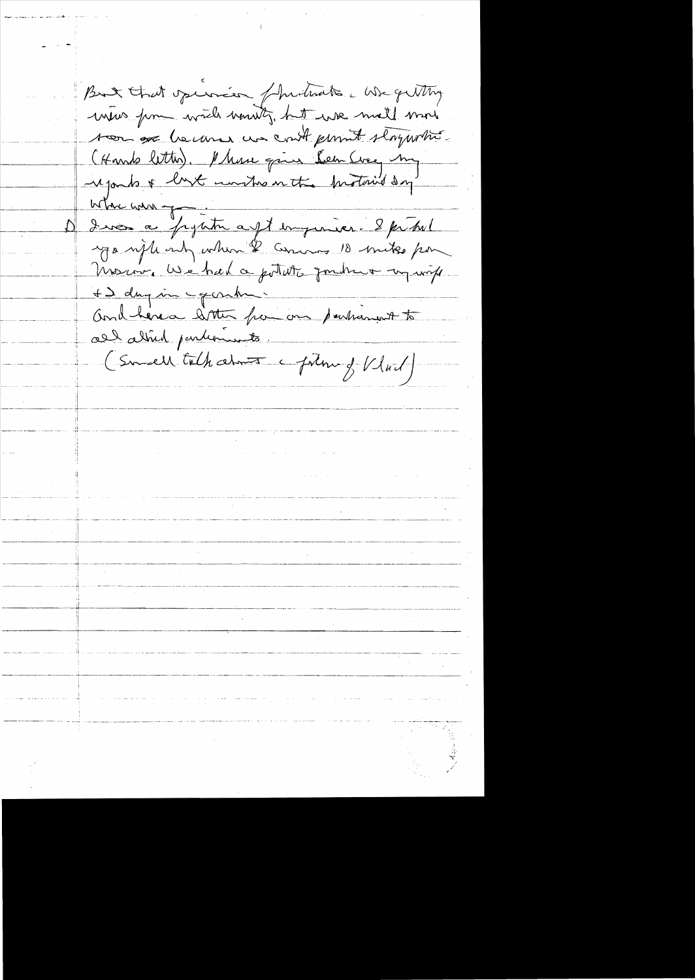But that operacion fundado a We getting were form with would be we mell more too or because we could promit storywhite. (Hamb letter). Marie qui Lem Cree, my where were duce a pyritre aust imperieur 8 pritrel ga upleast when I among 10 mike por Moscov, We had a potato fondre + in virk + I day in gorden. and here a sitter from one participant to all alfred pendencents. (Smell talk about a follow of Vlad)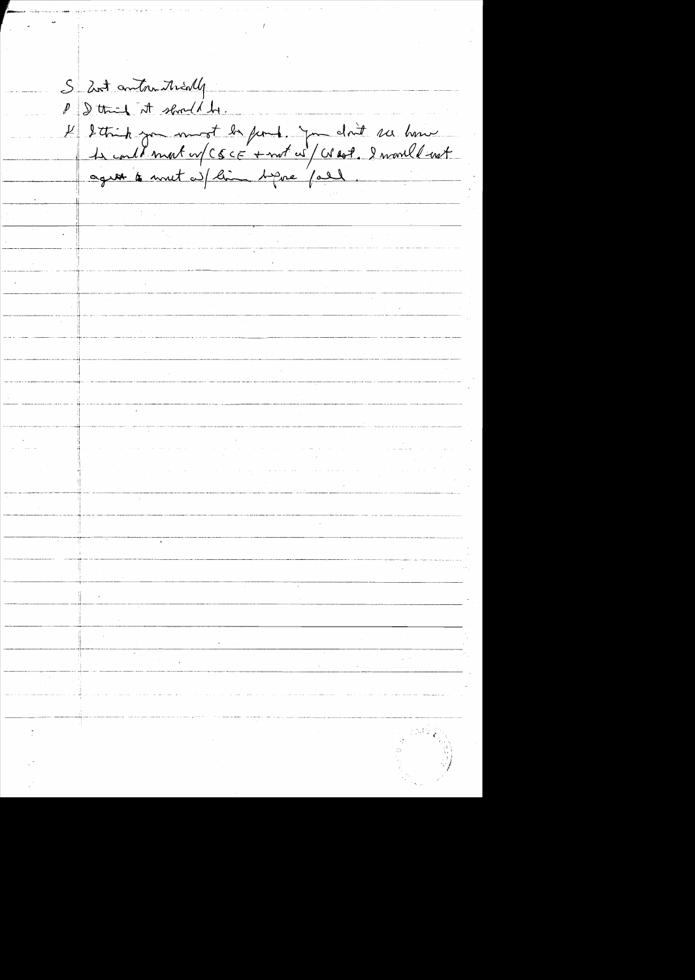S 2nt anton trially P I think it should be. 4 détrit par monst la famile. Jon dont ses house agent to mut a fline before fall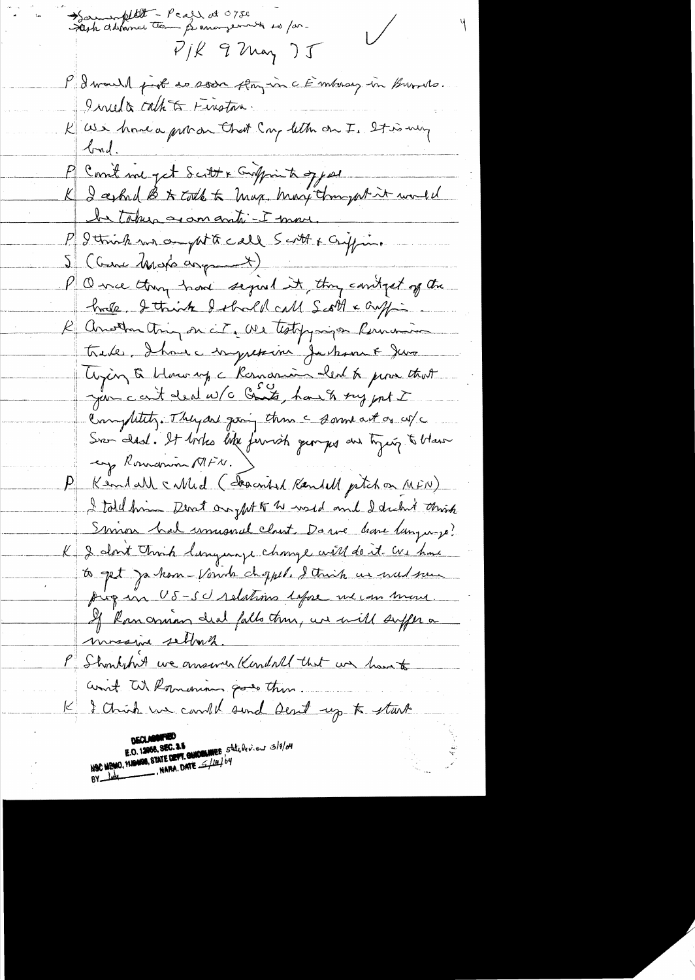Sommerfillt - Pear et 0730  $\sqrt{ }$  $P/K$  9 May )  $J$ P I would just to soon floyin a Embosy in Burnets. Inula cath to Finston. K as i home a provon that Cong letter on I. It is my <u>bad.</u> P Count me get Scitt & Croppin to ogg as K I asked B & colle to max. Mary throught it would be taken aromanti-I move. P I trink me on pt to call Scott & Criffing 5 (Cure Moto asymment) V Q me throughout sequel it thoughout of the hale, I think I shall call Scott & Guffin R Another thing on city are that pyringen Remaining trade, Ihave impression Jackson & Jeva Crying & blowing a Ramanin abent to prove that jur cont deal w/c Conts, haven sug put I Completely. They are giving them a some act on use Svan Idad. It listes like fermish gungers and typing to bland ey Romanin MFN. Kendall called (described Randell petchon MFIV) I told him Dent on ght of w wild and I dickn't think Simon had unusual clant. Do we have language? K I clont think language change will do it we have to get ja kom-Vande choppel. I think us wednes pig in US-SU relations lafore we can more. If Rancomian deal falls then, we will suffer a mossina sellong P Shoulshit we answer Kendall that we have to ant W. Romenians goods then I Chrish we can the send Dent up to start B.O. 12068, SEC. 3.5<br>NSC MEMO, MISMOS, STATE DEPT. GUIDELINES Statute ... 3/9/04